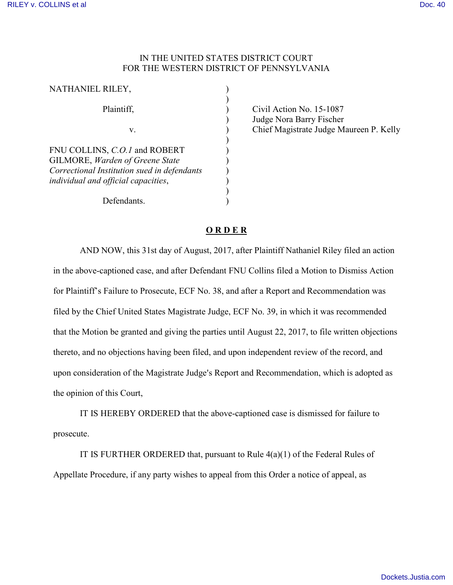## IN THE UNITED STATES DISTRICT COURT FOR THE WESTERN DISTRICT OF PENNSYLVANIA

| NATHANIEL RILEY,                                                                                                                                              |  |
|---------------------------------------------------------------------------------------------------------------------------------------------------------------|--|
| Plaintiff,                                                                                                                                                    |  |
| V.                                                                                                                                                            |  |
| FNU COLLINS, C.O.1 and ROBERT<br><b>GILMORE, Warden of Greene State</b><br>Correctional Institution sued in defendants<br>individual and official capacities, |  |
| Defendants.                                                                                                                                                   |  |

Civil Action No. 15-1087 Judge Nora Barry Fischer Chief Magistrate Judge Maureen P. Kelly

## **O R D E R**

AND NOW, this 31st day of August, 2017, after Plaintiff Nathaniel Riley filed an action in the above-captioned case, and after Defendant FNU Collins filed a Motion to Dismiss Action for Plaintiff's Failure to Prosecute, ECF No. 38, and after a Report and Recommendation was filed by the Chief United States Magistrate Judge, ECF No. 39, in which it was recommended that the Motion be granted and giving the parties until August 22, 2017, to file written objections thereto, and no objections having been filed, and upon independent review of the record, and upon consideration of the Magistrate Judge's Report and Recommendation, which is adopted as the opinion of this Court,

IT IS HEREBY ORDERED that the above-captioned case is dismissed for failure to prosecute.

IT IS FURTHER ORDERED that, pursuant to Rule  $4(a)(1)$  of the Federal Rules of Appellate Procedure, if any party wishes to appeal from this Order a notice of appeal, as